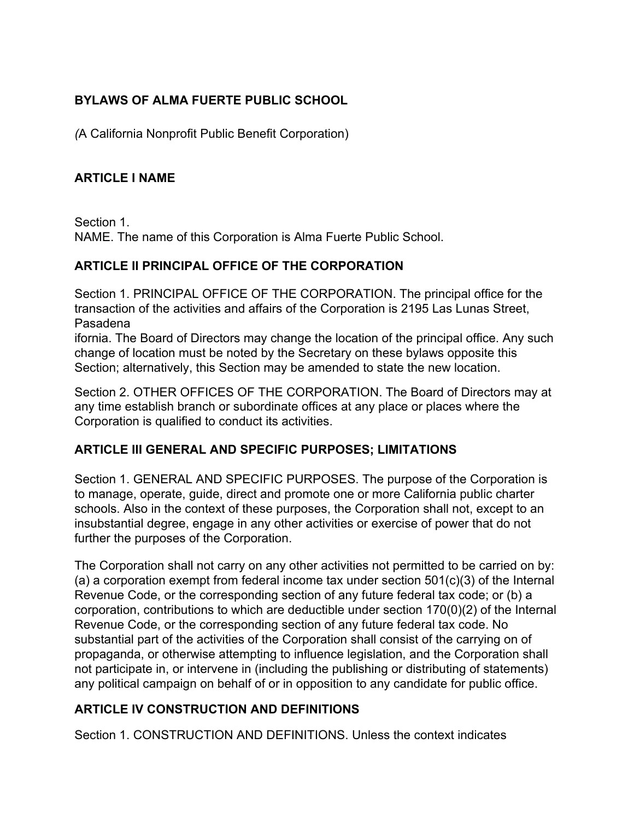# **BYLAWS OF ALMA FUERTE PUBLIC SCHOOL**

*(*A California Nonprofit Public Benefit Corporation)

# **ARTICLE I NAME**

Section 1. NAME. The name of this Corporation is Alma Fuerte Public School.

### **ARTICLE II PRINCIPAL OFFICE OF THE CORPORATION**

Section 1. PRINCIPAL OFFICE OF THE CORPORATION. The principal office for the transaction of the activities and affairs of the Corporation is 2195 Las Lunas Street, Pasadena

ifornia. The Board of Directors may change the location of the principal office. Any such change of location must be noted by the Secretary on these bylaws opposite this Section; alternatively, this Section may be amended to state the new location.

Section 2. OTHER OFFICES OF THE CORPORATION. The Board of Directors may at any time establish branch or subordinate offices at any place or places where the Corporation is qualified to conduct its activities.

## **ARTICLE III GENERAL AND SPECIFIC PURPOSES; LIMITATIONS**

Section 1. GENERAL AND SPECIFIC PURPOSES. The purpose of the Corporation is to manage, operate, guide, direct and promote one or more California public charter schools. Also in the context of these purposes, the Corporation shall not, except to an insubstantial degree, engage in any other activities or exercise of power that do not further the purposes of the Corporation.

The Corporation shall not carry on any other activities not permitted to be carried on by: (a) a corporation exempt from federal income tax under section 501(c)(3) of the Internal Revenue Code, or the corresponding section of any future federal tax code; or (b) a corporation, contributions to which are deductible under section 170(0)(2) of the Internal Revenue Code, or the corresponding section of any future federal tax code. No substantial part of the activities of the Corporation shall consist of the carrying on of propaganda, or otherwise attempting to influence legislation, and the Corporation shall not participate in, or intervene in (including the publishing or distributing of statements) any political campaign on behalf of or in opposition to any candidate for public office.

# **ARTICLE IV CONSTRUCTION AND DEFINITIONS**

Section 1. CONSTRUCTION AND DEFINITIONS. Unless the context indicates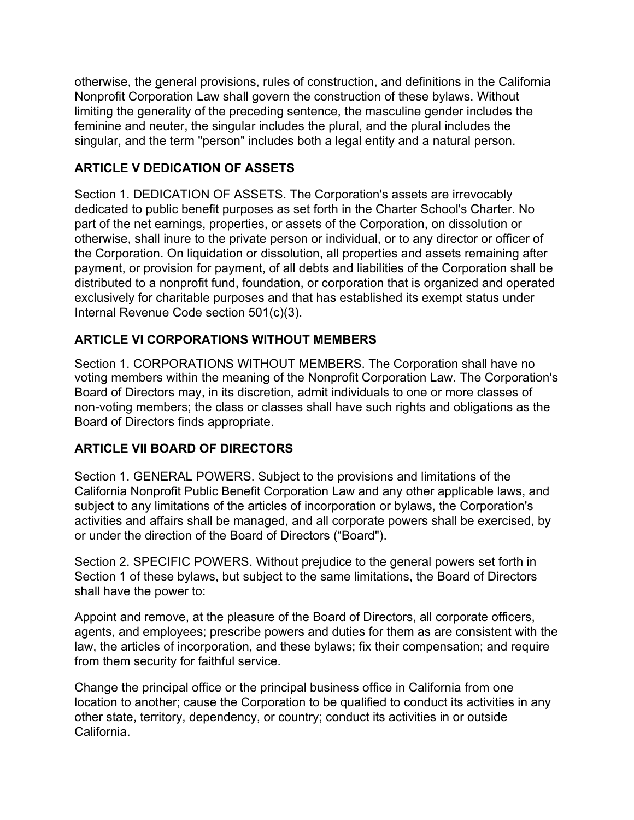otherwise, the general provisions, rules of construction, and definitions in the California Nonprofit Corporation Law shall govern the construction of these bylaws. Without limiting the generality of the preceding sentence, the masculine gender includes the feminine and neuter, the singular includes the plural, and the plural includes the singular, and the term "person" includes both a legal entity and a natural person.

# **ARTICLE V DEDICATION OF ASSETS**

Section 1. DEDICATION OF ASSETS. The Corporation's assets are irrevocably dedicated to public benefit purposes as set forth in the Charter School's Charter. No part of the net earnings, properties, or assets of the Corporation, on dissolution or otherwise, shall inure to the private person or individual, or to any director or officer of the Corporation. On liquidation or dissolution, all properties and assets remaining after payment, or provision for payment, of all debts and liabilities of the Corporation shall be distributed to a nonprofit fund, foundation, or corporation that is organized and operated exclusively for charitable purposes and that has established its exempt status under Internal Revenue Code section 501(c)(3).

# **ARTICLE VI CORPORATIONS WITHOUT MEMBERS**

Section 1. CORPORATIONS WITHOUT MEMBERS. The Corporation shall have no voting members within the meaning of the Nonprofit Corporation Law. The Corporation's Board of Directors may, in its discretion, admit individuals to one or more classes of non-voting members; the class or classes shall have such rights and obligations as the Board of Directors finds appropriate.

## **ARTICLE VII BOARD OF DIRECTORS**

Section 1. GENERAL POWERS. Subject to the provisions and limitations of the California Nonprofit Public Benefit Corporation Law and any other applicable laws, and subject to any limitations of the articles of incorporation or bylaws, the Corporation's activities and affairs shall be managed, and all corporate powers shall be exercised, by or under the direction of the Board of Directors ("Board").

Section 2. SPECIFIC POWERS. Without prejudice to the general powers set forth in Section 1 of these bylaws, but subject to the same limitations, the Board of Directors shall have the power to:

Appoint and remove, at the pleasure of the Board of Directors, all corporate officers, agents, and employees; prescribe powers and duties for them as are consistent with the law, the articles of incorporation, and these bylaws; fix their compensation; and require from them security for faithful service.

Change the principal office or the principal business office in California from one location to another; cause the Corporation to be qualified to conduct its activities in any other state, territory, dependency, or country; conduct its activities in or outside California.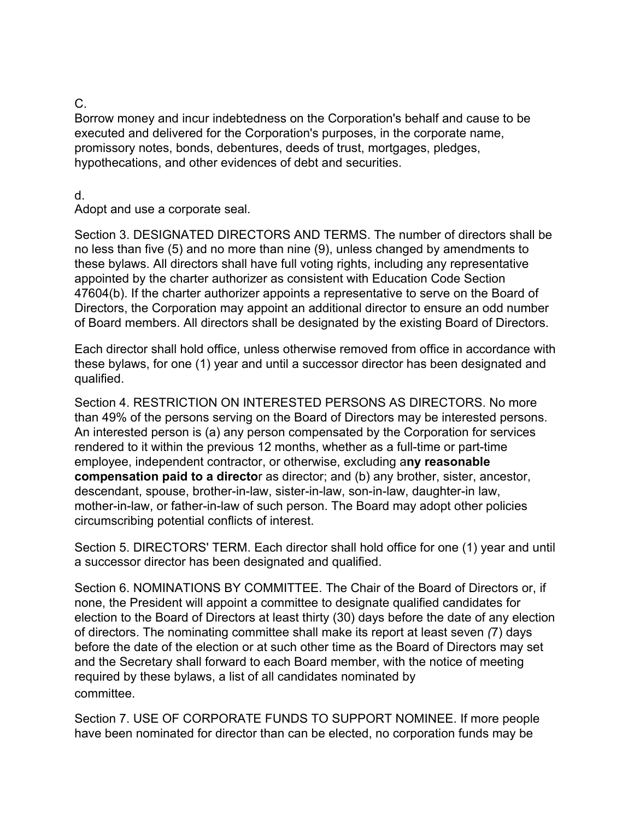### C.

Borrow money and incur indebtedness on the Corporation's behalf and cause to be executed and delivered for the Corporation's purposes, in the corporate name, promissory notes, bonds, debentures, deeds of trust, mortgages, pledges, hypothecations, and other evidences of debt and securities.

#### d.

Adopt and use a corporate seal.

Section 3. DESIGNATED DIRECTORS AND TERMS. The number of directors shall be no less than five (5) and no more than nine (9), unless changed by amendments to these bylaws. All directors shall have full voting rights, including any representative appointed by the charter authorizer as consistent with Education Code Section 47604(b). If the charter authorizer appoints a representative to serve on the Board of Directors, the Corporation may appoint an additional director to ensure an odd number of Board members. All directors shall be designated by the existing Board of Directors.

Each director shall hold office, unless otherwise removed from office in accordance with these bylaws, for one (1) year and until a successor director has been designated and qualified.

Section 4. RESTRICTION ON INTERESTED PERSONS AS DIRECTORS. No more than 49% of the persons serving on the Board of Directors may be interested persons. An interested person is (a) any person compensated by the Corporation for services rendered to it within the previous 12 months, whether as a full-time or part-time employee, independent contractor, or otherwise, excluding a**ny reasonable compensation paid to a directo**r as director; and (b) any brother, sister, ancestor, descendant, spouse, brother-in-law, sister-in-law, son-in-law, daughter-in law, mother-in-law, or father-in-law of such person. The Board may adopt other policies circumscribing potential conflicts of interest.

Section 5. DIRECTORS' TERM. Each director shall hold office for one (1) year and until a successor director has been designated and qualified.

Section 6. NOMINATIONS BY COMMITTEE. The Chair of the Board of Directors or, if none, the President will appoint a committee to designate qualified candidates for election to the Board of Directors at least thirty (30) days before the date of any election of directors. The nominating committee shall make its report at least seven *(*7) days before the date of the election or at such other time as the Board of Directors may set and the Secretary shall forward to each Board member, with the notice of meeting required by these bylaws, a list of all candidates nominated by committee.

Section 7. USE OF CORPORATE FUNDS TO SUPPORT NOMINEE. If more people have been nominated for director than can be elected, no corporation funds may be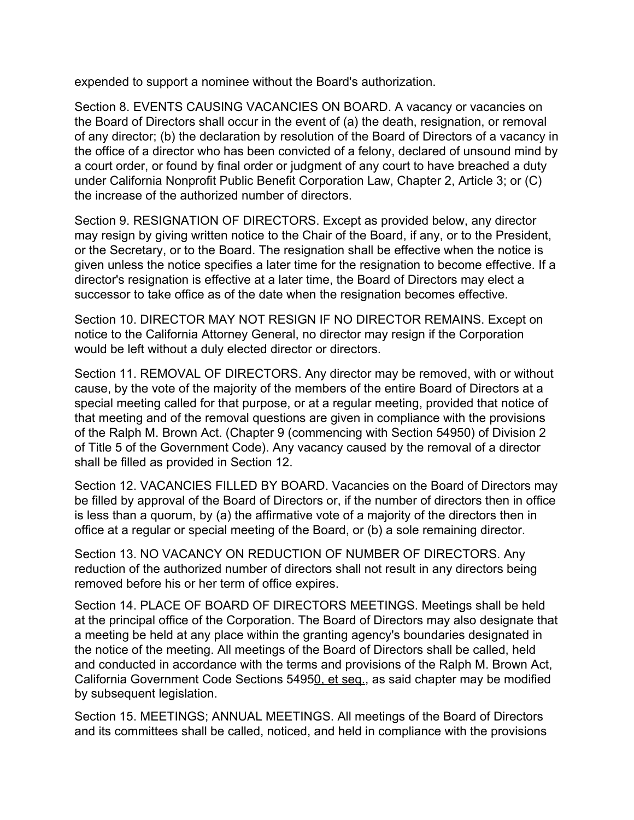expended to support a nominee without the Board's authorization.

Section 8. EVENTS CAUSING VACANCIES ON BOARD. A vacancy or vacancies on the Board of Directors shall occur in the event of (a) the death, resignation, or removal of any director; (b) the declaration by resolution of the Board of Directors of a vacancy in the office of a director who has been convicted of a felony, declared of unsound mind by a court order, or found by final order or judgment of any court to have breached a duty under California Nonprofit Public Benefit Corporation Law, Chapter 2, Article 3; or (C) the increase of the authorized number of directors.

Section 9. RESIGNATION OF DIRECTORS. Except as provided below, any director may resign by giving written notice to the Chair of the Board, if any, or to the President, or the Secretary, or to the Board. The resignation shall be effective when the notice is given unless the notice specifies a later time for the resignation to become effective. If a director's resignation is effective at a later time, the Board of Directors may elect a successor to take office as of the date when the resignation becomes effective.

Section 10. DIRECTOR MAY NOT RESIGN IF NO DIRECTOR REMAINS. Except on notice to the California Attorney General, no director may resign if the Corporation would be left without a duly elected director or directors.

Section 11. REMOVAL OF DIRECTORS. Any director may be removed, with or without cause, by the vote of the majority of the members of the entire Board of Directors at a special meeting called for that purpose, or at a regular meeting, provided that notice of that meeting and of the removal questions are given in compliance with the provisions of the Ralph M. Brown Act. (Chapter 9 (commencing with Section 54950) of Division 2 of Title 5 of the Government Code). Any vacancy caused by the removal of a director shall be filled as provided in Section 12.

Section 12. VACANCIES FILLED BY BOARD. Vacancies on the Board of Directors may be filled by approval of the Board of Directors or, if the number of directors then in office is less than a quorum, by (a) the affirmative vote of a majority of the directors then in office at a regular or special meeting of the Board, or (b) a sole remaining director.

Section 13. NO VACANCY ON REDUCTION OF NUMBER OF DIRECTORS. Any reduction of the authorized number of directors shall not result in any directors being removed before his or her term of office expires.

Section 14. PLACE OF BOARD OF DIRECTORS MEETINGS. Meetings shall be held at the principal office of the Corporation. The Board of Directors may also designate that a meeting be held at any place within the granting agency's boundaries designated in the notice of the meeting. All meetings of the Board of Directors shall be called, held and conducted in accordance with the terms and provisions of the Ralph M. Brown Act, California Government Code Sections 54950, et seq., as said chapter may be modified by subsequent legislation.

Section 15. MEETINGS; ANNUAL MEETINGS. All meetings of the Board of Directors and its committees shall be called, noticed, and held in compliance with the provisions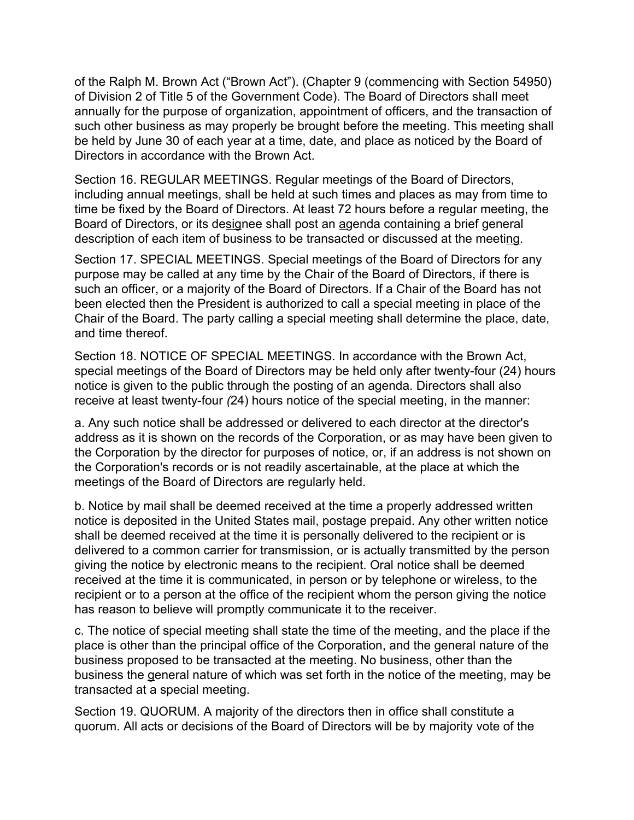of the Ralph M. Brown Act ("Brown Act"). (Chapter 9 (commencing with Section 54950) of Division 2 of Title 5 of the Government Code). The Board of Directors shall meet annually for the purpose of organization, appointment of officers, and the transaction of such other business as may properly be brought before the meeting. This meeting shall be held by June 30 of each year at a time, date, and place as noticed by the Board of Directors in accordance with the Brown Act.

Section 16. REGULAR MEETINGS. Regular meetings of the Board of Directors, including annual meetings, shall be held at such times and places as may from time to time be fixed by the Board of Directors. At least 72 hours before a regular meeting, the Board of Directors, or its designee shall post an agenda containing a brief general description of each item of business to be transacted or discussed at the meeting.

Section 17. SPECIAL MEETINGS. Special meetings of the Board of Directors for any purpose may be called at any time by the Chair of the Board of Directors, if there is such an officer, or a majority of the Board of Directors. If a Chair of the Board has not been elected then the President is authorized to call a special meeting in place of the Chair of the Board. The party calling a special meeting shall determine the place, date, and time thereof.

Section 18. NOTICE OF SPECIAL MEETINGS. In accordance with the Brown Act, special meetings of the Board of Directors may be held only after twenty-four (24) hours notice is given to the public through the posting of an agenda. Directors shall also receive at least twenty-four *(*24) hours notice of the special meeting, in the manner:

a. Any such notice shall be addressed or delivered to each director at the director's address as it is shown on the records of the Corporation, or as may have been given to the Corporation by the director for purposes of notice, or, if an address is not shown on the Corporation's records or is not readily ascertainable, at the place at which the meetings of the Board of Directors are regularly held.

b. Notice by mail shall be deemed received at the time a properly addressed written notice is deposited in the United States mail, postage prepaid. Any other written notice shall be deemed received at the time it is personally delivered to the recipient or is delivered to a common carrier for transmission, or is actually transmitted by the person giving the notice by electronic means to the recipient. Oral notice shall be deemed received at the time it is communicated, in person or by telephone or wireless, to the recipient or to a person at the office of the recipient whom the person giving the notice has reason to believe will promptly communicate it to the receiver.

c. The notice of special meeting shall state the time of the meeting, and the place if the place is other than the principal office of the Corporation, and the general nature of the business proposed to be transacted at the meeting. No business, other than the business the general nature of which was set forth in the notice of the meeting, may be transacted at a special meeting.

Section 19. QUORUM. A majority of the directors then in office shall constitute a quorum. All acts or decisions of the Board of Directors will be by majority vote of the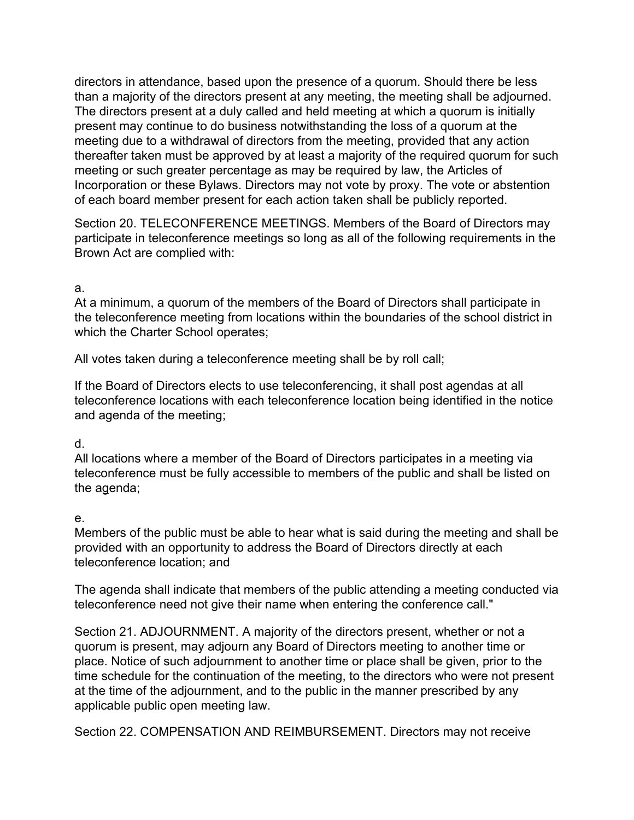directors in attendance, based upon the presence of a quorum. Should there be less than a majority of the directors present at any meeting, the meeting shall be adjourned. The directors present at a duly called and held meeting at which a quorum is initially present may continue to do business notwithstanding the loss of a quorum at the meeting due to a withdrawal of directors from the meeting, provided that any action thereafter taken must be approved by at least a majority of the required quorum for such meeting or such greater percentage as may be required by law, the Articles of Incorporation or these Bylaws. Directors may not vote by proxy. The vote or abstention of each board member present for each action taken shall be publicly reported.

Section 20. TELECONFERENCE MEETINGS. Members of the Board of Directors may participate in teleconference meetings so long as all of the following requirements in the Brown Act are complied with:

#### a.

At a minimum, a quorum of the members of the Board of Directors shall participate in the teleconference meeting from locations within the boundaries of the school district in which the Charter School operates;

All votes taken during a teleconference meeting shall be by roll call;

If the Board of Directors elects to use teleconferencing, it shall post agendas at all teleconference locations with each teleconference location being identified in the notice and agenda of the meeting;

### d.

All locations where a member of the Board of Directors participates in a meeting via teleconference must be fully accessible to members of the public and shall be listed on the agenda;

#### e.

Members of the public must be able to hear what is said during the meeting and shall be provided with an opportunity to address the Board of Directors directly at each teleconference location; and

The agenda shall indicate that members of the public attending a meeting conducted via teleconference need not give their name when entering the conference call."

Section 21. ADJOURNMENT. A majority of the directors present, whether or not a quorum is present, may adjourn any Board of Directors meeting to another time or place. Notice of such adjournment to another time or place shall be given, prior to the time schedule for the continuation of the meeting, to the directors who were not present at the time of the adjournment, and to the public in the manner prescribed by any applicable public open meeting law.

Section 22. COMPENSATION AND REIMBURSEMENT. Directors may not receive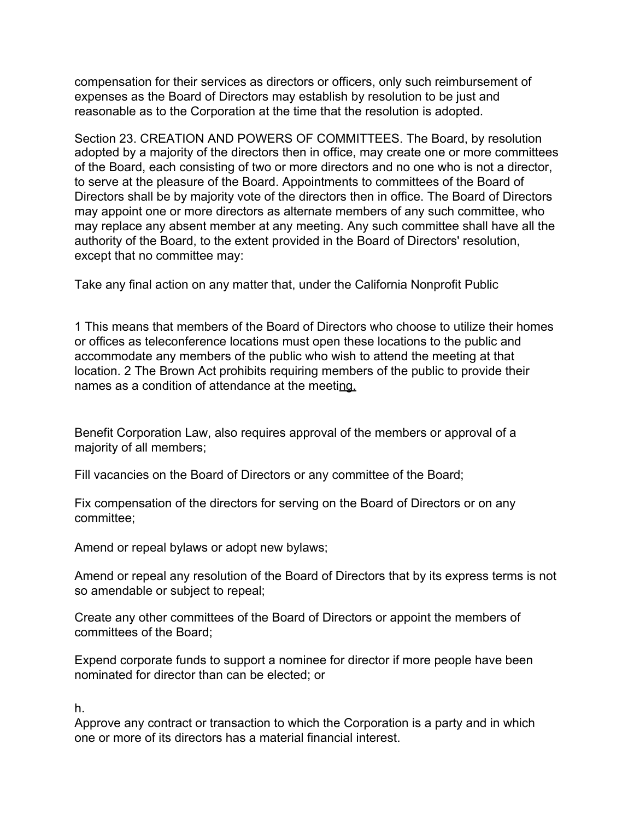compensation for their services as directors or officers, only such reimbursement of expenses as the Board of Directors may establish by resolution to be just and reasonable as to the Corporation at the time that the resolution is adopted.

Section 23. CREATION AND POWERS OF COMMITTEES. The Board, by resolution adopted by a majority of the directors then in office, may create one or more committees of the Board, each consisting of two or more directors and no one who is not a director, to serve at the pleasure of the Board. Appointments to committees of the Board of Directors shall be by majority vote of the directors then in office. The Board of Directors may appoint one or more directors as alternate members of any such committee, who may replace any absent member at any meeting. Any such committee shall have all the authority of the Board, to the extent provided in the Board of Directors' resolution, except that no committee may:

Take any final action on any matter that, under the California Nonprofit Public

1 This means that members of the Board of Directors who choose to utilize their homes or offices as teleconference locations must open these locations to the public and accommodate any members of the public who wish to attend the meeting at that location. 2 The Brown Act prohibits requiring members of the public to provide their names as a condition of attendance at the meeting.

Benefit Corporation Law, also requires approval of the members or approval of a majority of all members;

Fill vacancies on the Board of Directors or any committee of the Board;

Fix compensation of the directors for serving on the Board of Directors or on any committee;

Amend or repeal bylaws or adopt new bylaws;

Amend or repeal any resolution of the Board of Directors that by its express terms is not so amendable or subject to repeal;

Create any other committees of the Board of Directors or appoint the members of committees of the Board;

Expend corporate funds to support a nominee for director if more people have been nominated for director than can be elected; or

h.

Approve any contract or transaction to which the Corporation is a party and in which one or more of its directors has a material financial interest.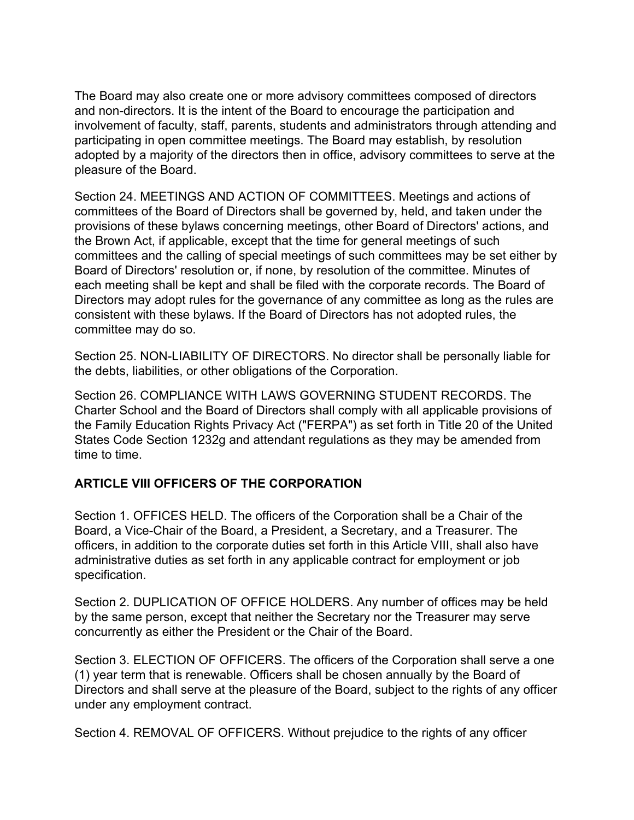The Board may also create one or more advisory committees composed of directors and non-directors. It is the intent of the Board to encourage the participation and involvement of faculty, staff, parents, students and administrators through attending and participating in open committee meetings. The Board may establish, by resolution adopted by a majority of the directors then in office, advisory committees to serve at the pleasure of the Board.

Section 24. MEETINGS AND ACTION OF COMMITTEES. Meetings and actions of committees of the Board of Directors shall be governed by, held, and taken under the provisions of these bylaws concerning meetings, other Board of Directors' actions, and the Brown Act, if applicable, except that the time for general meetings of such committees and the calling of special meetings of such committees may be set either by Board of Directors' resolution or, if none, by resolution of the committee. Minutes of each meeting shall be kept and shall be filed with the corporate records. The Board of Directors may adopt rules for the governance of any committee as long as the rules are consistent with these bylaws. If the Board of Directors has not adopted rules, the committee may do so.

Section 25. NON-LIABILITY OF DIRECTORS. No director shall be personally liable for the debts, liabilities, or other obligations of the Corporation.

Section 26. COMPLIANCE WITH LAWS GOVERNING STUDENT RECORDS. The Charter School and the Board of Directors shall comply with all applicable provisions of the Family Education Rights Privacy Act ("FERPA") as set forth in Title 20 of the United States Code Section 1232g and attendant regulations as they may be amended from time to time.

### **ARTICLE VIII OFFICERS OF THE CORPORATION**

Section 1. OFFICES HELD. The officers of the Corporation shall be a Chair of the Board, a Vice-Chair of the Board, a President, a Secretary, and a Treasurer. The officers, in addition to the corporate duties set forth in this Article VIII, shall also have administrative duties as set forth in any applicable contract for employment or job specification.

Section 2. DUPLICATION OF OFFICE HOLDERS. Any number of offices may be held by the same person, except that neither the Secretary nor the Treasurer may serve concurrently as either the President or the Chair of the Board.

Section 3. ELECTION OF OFFICERS. The officers of the Corporation shall serve a one (1) year term that is renewable. Officers shall be chosen annually by the Board of Directors and shall serve at the pleasure of the Board, subject to the rights of any officer under any employment contract.

Section 4. REMOVAL OF OFFICERS. Without prejudice to the rights of any officer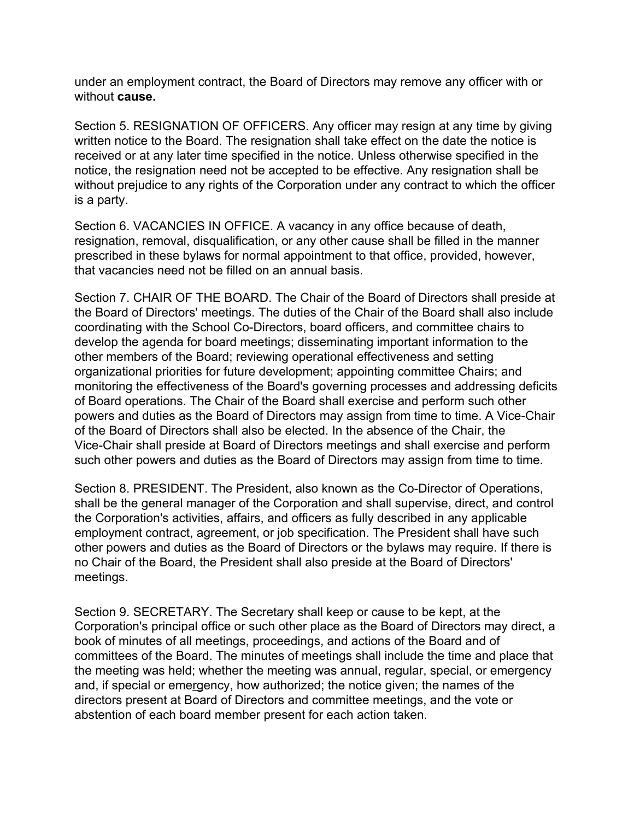under an employment contract, the Board of Directors may remove any officer with or without **cause.**

Section 5. RESIGNATION OF OFFICERS. Any officer may resign at any time by giving written notice to the Board. The resignation shall take effect on the date the notice is received or at any later time specified in the notice. Unless otherwise specified in the notice, the resignation need not be accepted to be effective. Any resignation shall be without prejudice to any rights of the Corporation under any contract to which the officer is a party.

Section 6. VACANCIES IN OFFICE. A vacancy in any office because of death, resignation, removal, disqualification, or any other cause shall be filled in the manner prescribed in these bylaws for normal appointment to that office, provided, however, that vacancies need not be filled on an annual basis.

Section 7. CHAIR OF THE BOARD. The Chair of the Board of Directors shall preside at the Board of Directors' meetings. The duties of the Chair of the Board shall also include coordinating with the School Co-Directors, board officers, and committee chairs to develop the agenda for board meetings; disseminating important information to the other members of the Board; reviewing operational effectiveness and setting organizational priorities for future development; appointing committee Chairs; and monitoring the effectiveness of the Board's governing processes and addressing deficits of Board operations. The Chair of the Board shall exercise and perform such other powers and duties as the Board of Directors may assign from time to time. A Vice-Chair of the Board of Directors shall also be elected. In the absence of the Chair, the Vice-Chair shall preside at Board of Directors meetings and shall exercise and perform such other powers and duties as the Board of Directors may assign from time to time.

Section 8. PRESIDENT. The President, also known as the Co-Director of Operations, shall be the general manager of the Corporation and shall supervise, direct, and control the Corporation's activities, affairs, and officers as fully described in any applicable employment contract, agreement, or job specification. The President shall have such other powers and duties as the Board of Directors or the bylaws may require. If there is no Chair of the Board, the President shall also preside at the Board of Directors' meetings.

Section 9. SECRETARY. The Secretary shall keep or cause to be kept, at the Corporation's principal office or such other place as the Board of Directors may direct, a book of minutes of all meetings, proceedings, and actions of the Board and of committees of the Board. The minutes of meetings shall include the time and place that the meeting was held; whether the meeting was annual, regular, special, or emergency and, if special or emergency, how authorized; the notice given; the names of the directors present at Board of Directors and committee meetings, and the vote or abstention of each board member present for each action taken.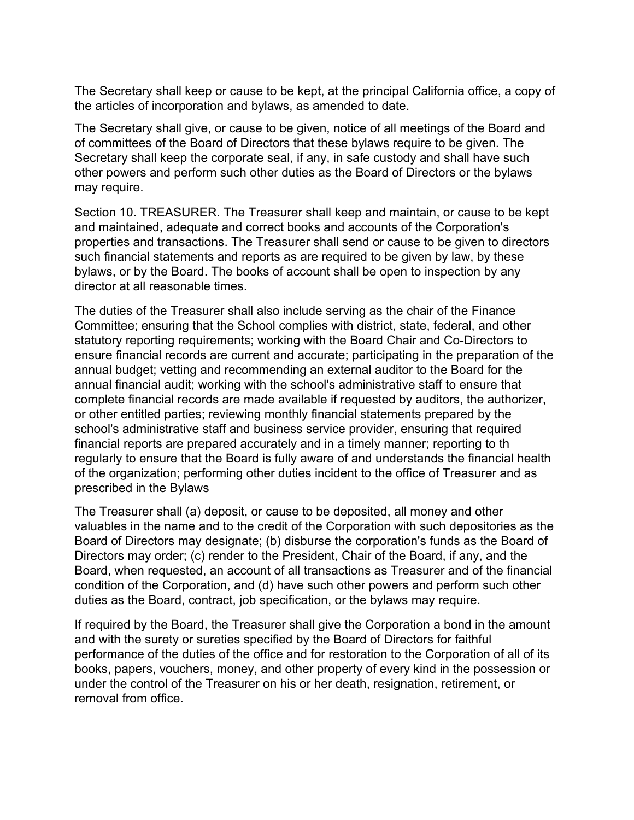The Secretary shall keep or cause to be kept, at the principal California office, a copy of the articles of incorporation and bylaws, as amended to date.

The Secretary shall give, or cause to be given, notice of all meetings of the Board and of committees of the Board of Directors that these bylaws require to be given. The Secretary shall keep the corporate seal, if any, in safe custody and shall have such other powers and perform such other duties as the Board of Directors or the bylaws may require.

Section 10. TREASURER. The Treasurer shall keep and maintain, or cause to be kept and maintained, adequate and correct books and accounts of the Corporation's properties and transactions. The Treasurer shall send or cause to be given to directors such financial statements and reports as are required to be given by law, by these bylaws, or by the Board. The books of account shall be open to inspection by any director at all reasonable times.

The duties of the Treasurer shall also include serving as the chair of the Finance Committee; ensuring that the School complies with district, state, federal, and other statutory reporting requirements; working with the Board Chair and Co-Directors to ensure financial records are current and accurate; participating in the preparation of the annual budget; vetting and recommending an external auditor to the Board for the annual financial audit; working with the school's administrative staff to ensure that complete financial records are made available if requested by auditors, the authorizer, or other entitled parties; reviewing monthly financial statements prepared by the school's administrative staff and business service provider, ensuring that required financial reports are prepared accurately and in a timely manner; reporting to th regularly to ensure that the Board is fully aware of and understands the financial health of the organization; performing other duties incident to the office of Treasurer and as prescribed in the Bylaws

The Treasurer shall (a) deposit, or cause to be deposited, all money and other valuables in the name and to the credit of the Corporation with such depositories as the Board of Directors may designate; (b) disburse the corporation's funds as the Board of Directors may order; (c) render to the President, Chair of the Board, if any, and the Board, when requested, an account of all transactions as Treasurer and of the financial condition of the Corporation, and (d) have such other powers and perform such other duties as the Board, contract, job specification, or the bylaws may require.

If required by the Board, the Treasurer shall give the Corporation a bond in the amount and with the surety or sureties specified by the Board of Directors for faithful performance of the duties of the office and for restoration to the Corporation of all of its books, papers, vouchers, money, and other property of every kind in the possession or under the control of the Treasurer on his or her death, resignation, retirement, or removal from office.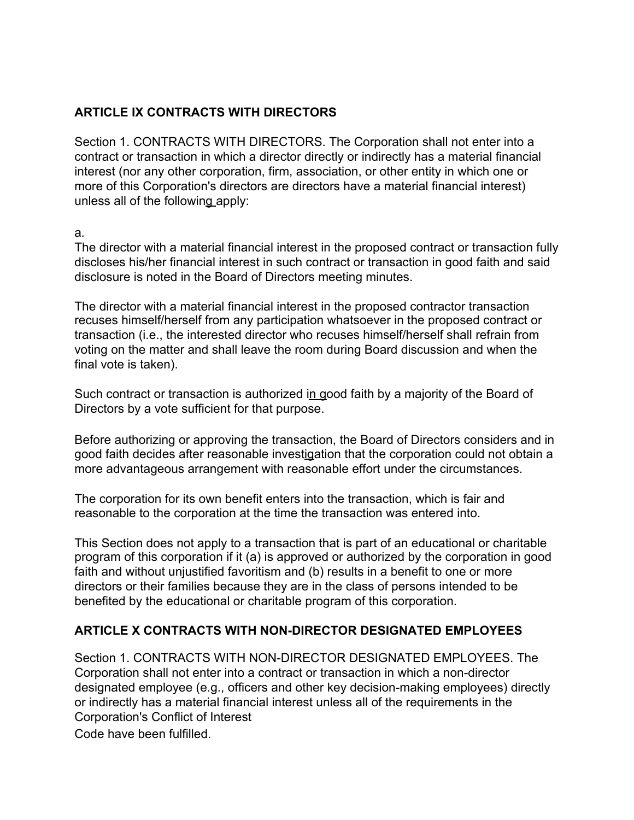### **ARTICLE IX CONTRACTS WITH DIRECTORS**

Section 1. CONTRACTS WITH DIRECTORS. The Corporation shall not enter into a contract or transaction in which a director directly or indirectly has a material financial interest (nor any other corporation, firm, association, or other entity in which one or more of this Corporation's directors are directors have a material financial interest) unless all of the following apply:

#### а*.*

The director with a material financial interest in the proposed contract or transaction fully discloses his/her financial interest in such contract or transaction in good faith and said disclosure is noted in the Board of Directors meeting minutes.

The director with a material financial interest in the proposed contractor transaction recuses himself/herself from any participation whatsoever in the proposed contract or transaction (i.e., the interested director who recuses himself/herself shall refrain from voting on the matter and shall leave the room during Board discussion and when the final vote is taken).

Such contract or transaction is authorized in good faith by a majority of the Board of Directors by a vote sufficient for that purpose.

Before authorizing or approving the transaction, the Board of Directors considers and in good faith decides after reasonable investigation that the corporation could not obtain a more advantageous arrangement with reasonable effort under the circumstances.

The corporation for its own benefit enters into the transaction, which is fair and reasonable to the corporation at the time the transaction was entered into.

This Section does not apply to a transaction that is part of an educational or charitable program of this corporation if it (a) is approved or authorized by the corporation in good faith and without unjustified favoritism and (b) results in a benefit to one or more directors or their families because they are in the class of persons intended to be benefited by the educational or charitable program of this corporation.

### **ARTICLE X CONTRACTS WITH NON-DIRECTOR DESIGNATED EMPLOYEES**

Section 1. CONTRACTS WITH NON-DIRECTOR DESIGNATED EMPLOYEES. The Corporation shall not enter into a contract or transaction in which a non-director designated employee (e.g., officers and other key decision-making employees) directly or indirectly has a material financial interest unless all of the requirements in the Corporation's Conflict of Interest

Code have been fulfilled.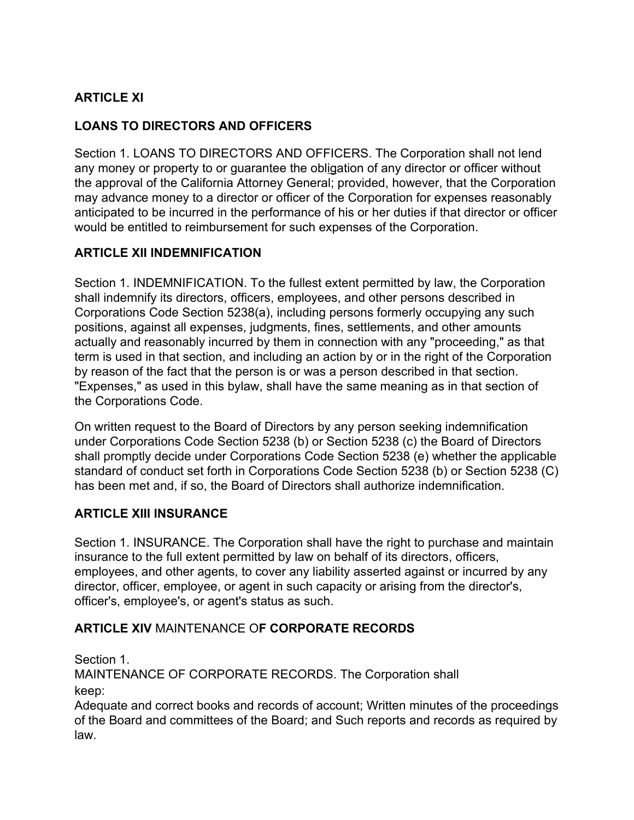# **ARTICLE XI**

## **LOANS TO DIRECTORS AND OFFICERS**

Section 1. LOANS TO DIRECTORS AND OFFICERS. The Corporation shall not lend any money or property to or guarantee the obligation of any director or officer without the approval of the California Attorney General; provided, however, that the Corporation may advance money to a director or officer of the Corporation for expenses reasonably anticipated to be incurred in the performance of his or her duties if that director or officer would be entitled to reimbursement for such expenses of the Corporation.

### **ARTICLE XII INDEMNIFICATION**

Section 1. INDEMNIFICATION. To the fullest extent permitted by law, the Corporation shall indemnify its directors, officers, employees, and other persons described in Corporations Code Section 5238(a), including persons formerly occupying any such positions, against all expenses, judgments, fines, settlements, and other amounts actually and reasonably incurred by them in connection with any "proceeding," as that term is used in that section, and including an action by or in the right of the Corporation by reason of the fact that the person is or was a person described in that section. "Expenses," as used in this bylaw, shall have the same meaning as in that section of the Corporations Code.

On written request to the Board of Directors by any person seeking indemnification under Corporations Code Section 5238 (b) or Section 5238 (c) the Board of Directors shall promptly decide under Corporations Code Section 5238 (e) whether the applicable standard of conduct set forth in Corporations Code Section 5238 (b) or Section 5238 (C) has been met and, if so, the Board of Directors shall authorize indemnification.

### **ARTICLE XIII INSURANCE**

Section 1. INSURANCE. The Corporation shall have the right to purchase and maintain insurance to the full extent permitted by law on behalf of its directors, officers, employees, and other agents, to cover any liability asserted against or incurred by any director, officer, employee, or agent in such capacity or arising from the director's, officer's, employee's, or agent's status as such.

### **ARTICLE XIV** MAINTENANCE O**F CORPORATE RECORDS**

Section 1.

MAINTENANCE OF CORPORATE RECORDS. The Corporation shall keep:

Adequate and correct books and records of account; Written minutes of the proceedings of the Board and committees of the Board; and Such reports and records as required by law.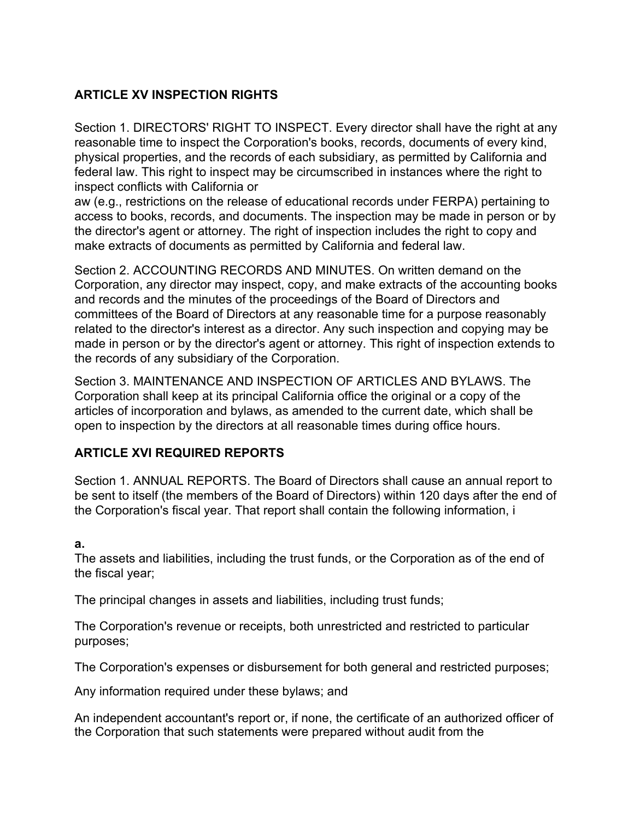## **ARTICLE XV INSPECTION RIGHTS**

Section 1. DIRECTORS' RIGHT TO INSPECT. Every director shall have the right at any reasonable time to inspect the Corporation's books, records, documents of every kind, physical properties, and the records of each subsidiary, as permitted by California and federal law. This right to inspect may be circumscribed in instances where the right to inspect conflicts with California or

aw (e.g., restrictions on the release of educational records under FERPA) pertaining to access to books, records, and documents. The inspection may be made in person or by the director's agent or attorney. The right of inspection includes the right to copy and make extracts of documents as permitted by California and federal law.

Section 2. ACCOUNTING RECORDS AND MINUTES. On written demand on the Corporation, any director may inspect, copy, and make extracts of the accounting books and records and the minutes of the proceedings of the Board of Directors and committees of the Board of Directors at any reasonable time for a purpose reasonably related to the director's interest as a director. Any such inspection and copying may be made in person or by the director's agent or attorney. This right of inspection extends to the records of any subsidiary of the Corporation.

Section 3. MAINTENANCE AND INSPECTION OF ARTICLES AND BYLAWS. The Corporation shall keep at its principal California office the original or a copy of the articles of incorporation and bylaws, as amended to the current date, which shall be open to inspection by the directors at all reasonable times during office hours.

## **ARTICLE XVI REQUIRED REPORTS**

Section 1. ANNUAL REPORTS. The Board of Directors shall cause an annual report to be sent to itself (the members of the Board of Directors) within 120 days after the end of the Corporation's fiscal year. That report shall contain the following information, i

### **a.**

The assets and liabilities, including the trust funds, or the Corporation as of the end of the fiscal year;

The principal changes in assets and liabilities, including trust funds;

The Corporation's revenue or receipts, both unrestricted and restricted to particular purposes;

The Corporation's expenses or disbursement for both general and restricted purposes;

Any information required under these bylaws; and

An independent accountant's report or, if none, the certificate of an authorized officer of the Corporation that such statements were prepared without audit from the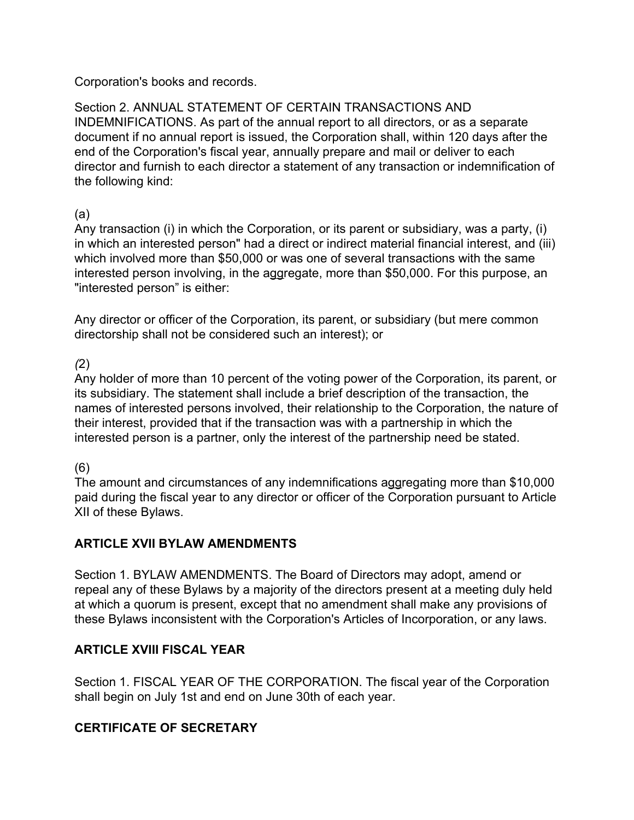Corporation's books and records.

Section 2. ANNUAL STATEMENT OF CERTAIN TRANSACTIONS AND INDEMNIFICATIONS. As part of the annual report to all directors, or as a separate document if no annual report is issued, the Corporation shall, within 120 days after the end of the Corporation's fiscal year, annually prepare and mail or deliver to each director and furnish to each director a statement of any transaction or indemnification of the following kind:

#### (a)

Any transaction (i) in which the Corporation, or its parent or subsidiary, was a party, (i) in which an interested person" had a direct or indirect material financial interest, and (iii) which involved more than \$50,000 or was one of several transactions with the same interested person involving, in the aggregate, more than \$50,000. For this purpose, an "interested person" is either:

Any director or officer of the Corporation, its parent, or subsidiary (but mere common directorship shall not be considered such an interest); or

### *(*2)

Any holder of more than 10 percent of the voting power of the Corporation, its parent, or its subsidiary. The statement shall include a brief description of the transaction, the names of interested persons involved, their relationship to the Corporation, the nature of their interest, provided that if the transaction was with a partnership in which the interested person is a partner, only the interest of the partnership need be stated.

### (6)

The amount and circumstances of any indemnifications aggregating more than \$10,000 paid during the fiscal year to any director or officer of the Corporation pursuant to Article XII of these Bylaws.

### **ARTICLE XVII BYLAW AMENDMENTS**

Section 1. BYLAW AMENDMENTS. The Board of Directors may adopt, amend or repeal any of these Bylaws by a majority of the directors present at a meeting duly held at which a quorum is present, except that no amendment shall make any provisions of these Bylaws inconsistent with the Corporation's Articles of Incorporation, or any laws.

### **ARTICLE XVIII FISC***A***L YEAR**

Section 1. FISCAL YEAR OF THE CORPORATION. The fiscal year of the Corporation shall begin on July 1st and end on June 30th of each year.

### **CERTIFICATE OF SECRETARY**